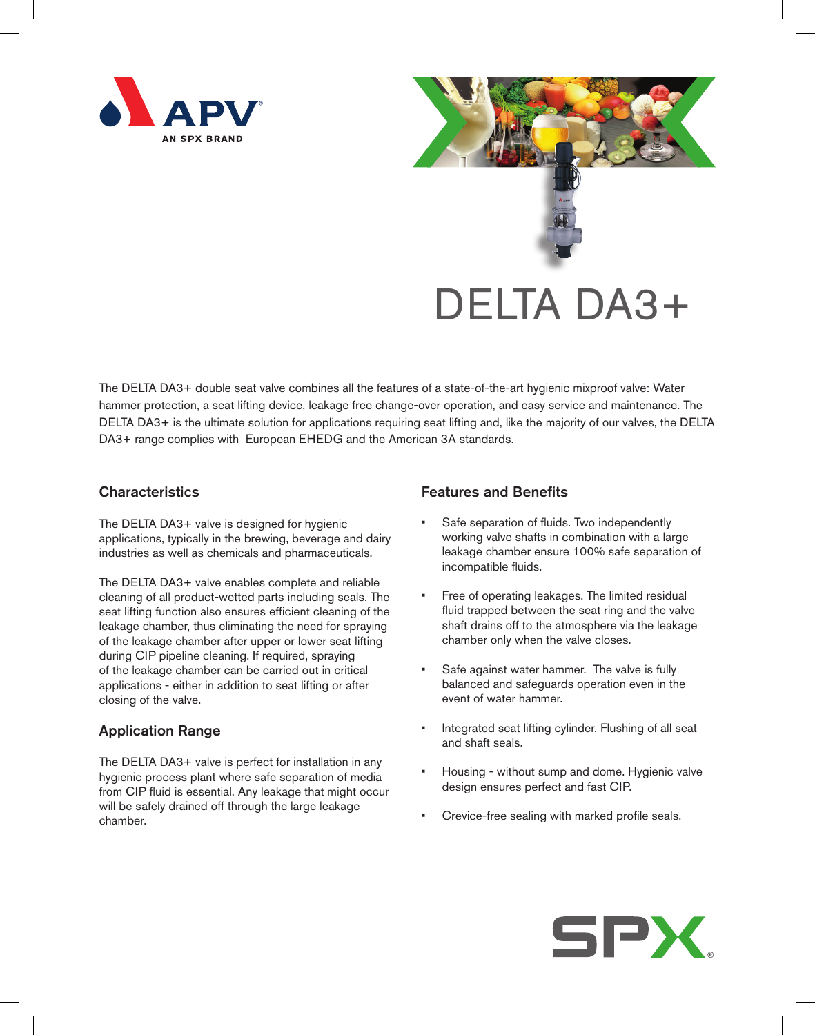



The DELTA DA3+ double seat valve combines all the features of a state-of-the-art hygienic mixproof valve: Water hammer protection, a seat lifting device, leakage free change-over operation, and easy service and maintenance. The DELTA DA3+ is the ultimate solution for applications requiring seat lifting and, like the majority of our valves, the DELTA DA3+ range complies with European EHEDG and the American 3A standards.

## **Characteristics**

The DELTA DA3+ valve is designed for hygienic applications, typically in the brewing, beverage and dairy industries as well as chemicals and pharmaceuticals.

The DELTA DA3+ valve enables complete and reliable cleaning of all product-wetted parts including seals. The seat lifting function also ensures efficient cleaning of the leakage chamber, thus eliminating the need for spraying of the leakage chamber after upper or lower seat lifting during CIP pipeline cleaning. If required, spraying of the leakage chamber can be carried out in critical applications - either in addition to seat lifting or after closing of the valve.

# Application Range

The DELTA DA3+ valve is perfect for installation in any hygienic process plant where safe separation of media from CIP fluid is essential. Any leakage that might occur will be safely drained off through the large leakage chamber.

# Features and Benefits

- Safe separation of fluids. Two independently working valve shafts in combination with a large leakage chamber ensure 100% safe separation of incompatible fluids.
- Free of operating leakages. The limited residual fluid trapped between the seat ring and the valve shaft drains off to the atmosphere via the leakage chamber only when the valve closes.
- Safe against water hammer. The valve is fully balanced and safeguards operation even in the event of water hammer.
- Integrated seat lifting cylinder. Flushing of all seat and shaft seals.
- Housing without sump and dome. Hygienic valve design ensures perfect and fast CIP.
- • Crevice-free sealing with marked profile seals.